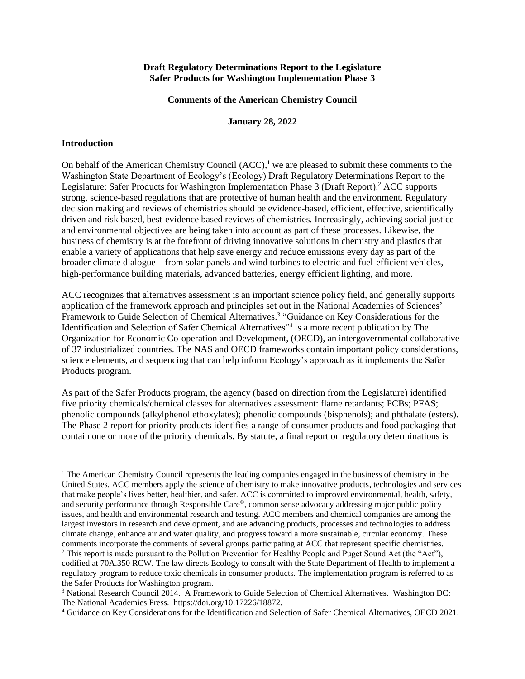### **Draft Regulatory Determinations Report to the Legislature Safer Products for Washington Implementation Phase 3**

#### **Comments of the American Chemistry Council**

#### **January 28, 2022**

#### **Introduction**

On behalf of the American Chemistry Council  $(ACC)$ ,<sup>1</sup> we are pleased to submit these comments to the Washington State Department of Ecology's (Ecology) Draft Regulatory Determinations Report to the Legislature: Safer Products for Washington Implementation Phase 3 (Draft Report).<sup>2</sup> ACC supports strong, science-based regulations that are protective of human health and the environment. Regulatory decision making and reviews of chemistries should be evidence-based, efficient, effective, scientifically driven and risk based, best-evidence based reviews of chemistries. Increasingly, achieving social justice and environmental objectives are being taken into account as part of these processes. Likewise, the business of chemistry is at the forefront of driving innovative solutions in chemistry and plastics that enable a variety of applications that help save energy and reduce emissions every day as part of the broader climate dialogue – from solar panels and wind turbines to electric and fuel-efficient vehicles, high-performance building materials, advanced batteries, energy efficient lighting, and more.

ACC recognizes that alternatives assessment is an important science policy field, and generally supports application of the framework approach and principles set out in the National Academies of Sciences' Framework to Guide Selection of Chemical Alternatives.<sup>3</sup> "Guidance on Key Considerations for the Identification and Selection of Safer Chemical Alternatives<sup>"4</sup> is a more recent publication by The Organization for Economic Co-operation and Development, (OECD), an intergovernmental collaborative of 37 industrialized countries. The NAS and OECD frameworks contain important policy considerations, science elements, and sequencing that can help inform Ecology's approach as it implements the Safer Products program.

As part of the Safer Products program, the agency (based on direction from the Legislature) identified five priority chemicals/chemical classes for alternatives assessment: flame retardants; PCBs; PFAS; phenolic compounds (alkylphenol ethoxylates); phenolic compounds (bisphenols); and phthalate (esters). The Phase 2 report for priority products identifies a range of consumer products and food packaging that contain one or more of the priority chemicals. By statute, a final report on regulatory determinations is

<sup>&</sup>lt;sup>1</sup> The American Chemistry Council represents the leading companies engaged in the business of chemistry in the United States. ACC members apply the science of chemistry to make innovative products, technologies and services that make people's lives better, healthier, and safer. ACC is committed to improved environmental, health, safety, and security performance through Responsible Care®, common sense advocacy addressing major public policy issues, and health and environmental research and testing. ACC members and chemical companies are among the largest investors in research and development, and are advancing products, processes and technologies to address climate change, enhance air and water quality, and progress toward a more sustainable, circular economy. These comments incorporate the comments of several groups participating at ACC that represent specific chemistries. <sup>2</sup> This report is made pursuant to the Pollution Prevention for Healthy People and Puget Sound Act (the "Act"),

codified at 70A.350 RCW. The law directs Ecology to consult with the State Department of Health to implement a regulatory program to reduce toxic chemicals in consumer products. The implementation program is referred to as the Safer Products for Washington program.

<sup>&</sup>lt;sup>3</sup> National Research Council 2014. A Framework to Guide Selection of Chemical Alternatives. Washington DC: The National Academies Press. https://doi.org/10.17226/18872.

<sup>4</sup> Guidance on Key Considerations for the Identification and Selection of Safer Chemical Alternatives, OECD 2021.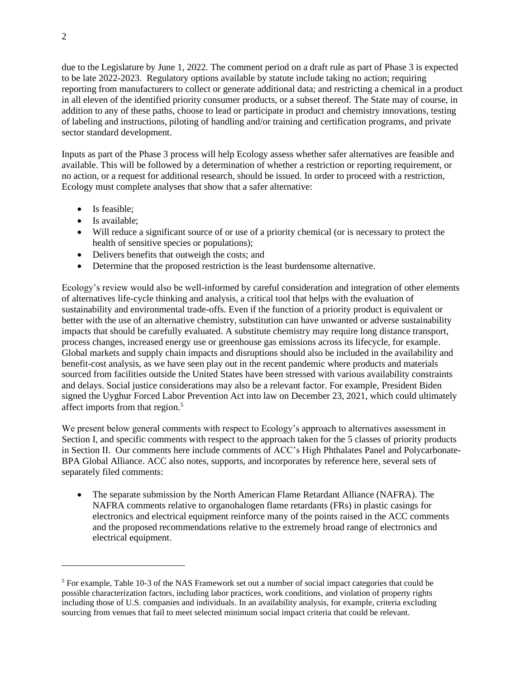due to the Legislature by June 1, 2022. The comment period on a draft rule as part of Phase 3 is expected to be late 2022-2023. Regulatory options available by statute include taking no action; requiring reporting from manufacturers to collect or generate additional data; and restricting a chemical in a product in all eleven of the identified priority consumer products, or a subset thereof. The State may of course, in addition to any of these paths, choose to lead or participate in product and chemistry innovations, testing of labeling and instructions, piloting of handling and/or training and certification programs, and private sector standard development.

Inputs as part of the Phase 3 process will help Ecology assess whether safer alternatives are feasible and available. This will be followed by a determination of whether a restriction or reporting requirement, or no action, or a request for additional research, should be issued. In order to proceed with a restriction, Ecology must complete analyses that show that a safer alternative:

- Is feasible:
- Is available:
- Will reduce a significant source of or use of a priority chemical (or is necessary to protect the health of sensitive species or populations);
- Delivers benefits that outweigh the costs; and
- Determine that the proposed restriction is the least burdensome alternative.

Ecology's review would also be well-informed by careful consideration and integration of other elements of alternatives life-cycle thinking and analysis, a critical tool that helps with the evaluation of sustainability and environmental trade-offs. Even if the function of a priority product is equivalent or better with the use of an alternative chemistry, substitution can have unwanted or adverse sustainability impacts that should be carefully evaluated. A substitute chemistry may require long distance transport, process changes, increased energy use or greenhouse gas emissions across its lifecycle, for example. Global markets and supply chain impacts and disruptions should also be included in the availability and benefit-cost analysis, as we have seen play out in the recent pandemic where products and materials sourced from facilities outside the United States have been stressed with various availability constraints and delays. Social justice considerations may also be a relevant factor. For example, President Biden signed the Uyghur Forced Labor Prevention Act into law on December 23, 2021, which could ultimately affect imports from that region.<sup>5</sup>

We present below general comments with respect to Ecology's approach to alternatives assessment in Section I, and specific comments with respect to the approach taken for the 5 classes of priority products in Section II. Our comments here include comments of ACC's High Phthalates Panel and Polycarbonate-BPA Global Alliance. ACC also notes, supports, and incorporates by reference here, several sets of separately filed comments:

• The separate submission by the North American Flame Retardant Alliance (NAFRA). The NAFRA comments relative to organohalogen flame retardants (FRs) in plastic casings for electronics and electrical equipment reinforce many of the points raised in the ACC comments and the proposed recommendations relative to the extremely broad range of electronics and electrical equipment.

<sup>5</sup> For example, Table 10-3 of the NAS Framework set out a number of social impact categories that could be possible characterization factors, including labor practices, work conditions, and violation of property rights including those of U.S. companies and individuals. In an availability analysis, for example, criteria excluding sourcing from venues that fail to meet selected minimum social impact criteria that could be relevant.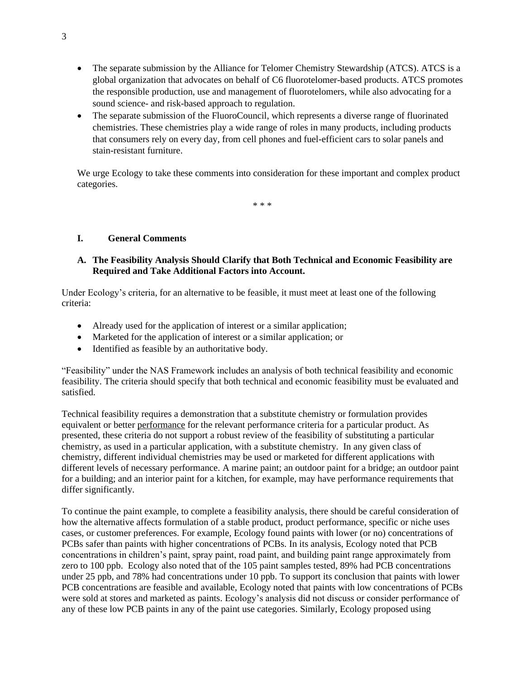- The separate submission by the Alliance for Telomer Chemistry Stewardship (ATCS). ATCS is a global organization that advocates on behalf of C6 fluorotelomer-based products. ATCS promotes the responsible production, use and management of fluorotelomers, while also advocating for a sound science- and risk-based approach to regulation.
- The separate submission of the FluoroCouncil, which represents a diverse range of fluorinated chemistries. These chemistries play a wide range of roles in many products, including products that consumers rely on every day, from cell phones and fuel-efficient cars to solar panels and stain-resistant furniture.

We urge Ecology to take these comments into consideration for these important and complex product categories.

\* \* \*

### **I. General Comments**

# **A. The Feasibility Analysis Should Clarify that Both Technical and Economic Feasibility are Required and Take Additional Factors into Account.**

Under Ecology's criteria, for an alternative to be feasible, it must meet at least one of the following criteria:

- Already used for the application of interest or a similar application;
- Marketed for the application of interest or a similar application; or
- Identified as feasible by an authoritative body.

"Feasibility" under the NAS Framework includes an analysis of both technical feasibility and economic feasibility. The criteria should specify that both technical and economic feasibility must be evaluated and satisfied.

Technical feasibility requires a demonstration that a substitute chemistry or formulation provides equivalent or better performance for the relevant performance criteria for a particular product. As presented, these criteria do not support a robust review of the feasibility of substituting a particular chemistry, as used in a particular application, with a substitute chemistry. In any given class of chemistry, different individual chemistries may be used or marketed for different applications with different levels of necessary performance. A marine paint; an outdoor paint for a bridge; an outdoor paint for a building; and an interior paint for a kitchen, for example, may have performance requirements that differ significantly.

To continue the paint example, to complete a feasibility analysis, there should be careful consideration of how the alternative affects formulation of a stable product, product performance, specific or niche uses cases, or customer preferences. For example, Ecology found paints with lower (or no) concentrations of PCBs safer than paints with higher concentrations of PCBs. In its analysis, Ecology noted that PCB concentrations in children's paint, spray paint, road paint, and building paint range approximately from zero to 100 ppb. Ecology also noted that of the 105 paint samples tested, 89% had PCB concentrations under 25 ppb, and 78% had concentrations under 10 ppb. To support its conclusion that paints with lower PCB concentrations are feasible and available, Ecology noted that paints with low concentrations of PCBs were sold at stores and marketed as paints. Ecology's analysis did not discuss or consider performance of any of these low PCB paints in any of the paint use categories. Similarly, Ecology proposed using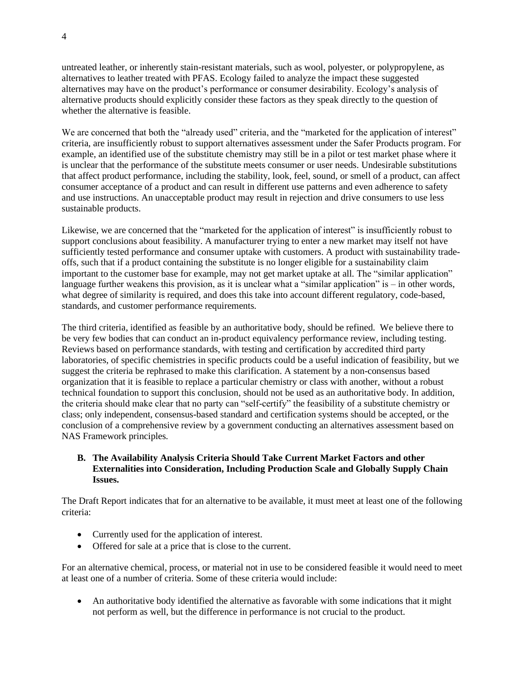untreated leather, or inherently stain-resistant materials, such as wool, polyester, or polypropylene, as alternatives to leather treated with PFAS. Ecology failed to analyze the impact these suggested alternatives may have on the product's performance or consumer desirability. Ecology's analysis of alternative products should explicitly consider these factors as they speak directly to the question of whether the alternative is feasible.

We are concerned that both the "already used" criteria, and the "marketed for the application of interest" criteria, are insufficiently robust to support alternatives assessment under the Safer Products program. For example, an identified use of the substitute chemistry may still be in a pilot or test market phase where it is unclear that the performance of the substitute meets consumer or user needs. Undesirable substitutions that affect product performance, including the stability, look, feel, sound, or smell of a product, can affect consumer acceptance of a product and can result in different use patterns and even adherence to safety and use instructions. An unacceptable product may result in rejection and drive consumers to use less sustainable products.

Likewise, we are concerned that the "marketed for the application of interest" is insufficiently robust to support conclusions about feasibility. A manufacturer trying to enter a new market may itself not have sufficiently tested performance and consumer uptake with customers. A product with sustainability tradeoffs, such that if a product containing the substitute is no longer eligible for a sustainability claim important to the customer base for example, may not get market uptake at all. The "similar application" language further weakens this provision, as it is unclear what a "similar application" is – in other words, what degree of similarity is required, and does this take into account different regulatory, code-based, standards, and customer performance requirements.

The third criteria, identified as feasible by an authoritative body, should be refined. We believe there to be very few bodies that can conduct an in-product equivalency performance review, including testing. Reviews based on performance standards, with testing and certification by accredited third party laboratories, of specific chemistries in specific products could be a useful indication of feasibility, but we suggest the criteria be rephrased to make this clarification. A statement by a non-consensus based organization that it is feasible to replace a particular chemistry or class with another, without a robust technical foundation to support this conclusion, should not be used as an authoritative body. In addition, the criteria should make clear that no party can "self-certify" the feasibility of a substitute chemistry or class; only independent, consensus-based standard and certification systems should be accepted, or the conclusion of a comprehensive review by a government conducting an alternatives assessment based on NAS Framework principles.

## **B. The Availability Analysis Criteria Should Take Current Market Factors and other Externalities into Consideration, Including Production Scale and Globally Supply Chain Issues.**

The Draft Report indicates that for an alternative to be available, it must meet at least one of the following criteria:

- Currently used for the application of interest.
- Offered for sale at a price that is close to the current.

For an alternative chemical, process, or material not in use to be considered feasible it would need to meet at least one of a number of criteria. Some of these criteria would include:

• An authoritative body identified the alternative as favorable with some indications that it might not perform as well, but the difference in performance is not crucial to the product.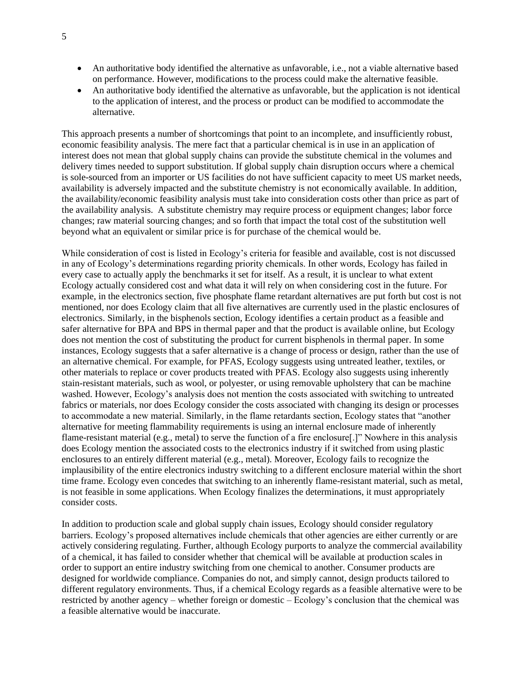- An authoritative body identified the alternative as unfavorable, i.e., not a viable alternative based on performance. However, modifications to the process could make the alternative feasible.
- An authoritative body identified the alternative as unfavorable, but the application is not identical to the application of interest, and the process or product can be modified to accommodate the alternative.

This approach presents a number of shortcomings that point to an incomplete, and insufficiently robust, economic feasibility analysis. The mere fact that a particular chemical is in use in an application of interest does not mean that global supply chains can provide the substitute chemical in the volumes and delivery times needed to support substitution. If global supply chain disruption occurs where a chemical is sole-sourced from an importer or US facilities do not have sufficient capacity to meet US market needs, availability is adversely impacted and the substitute chemistry is not economically available. In addition, the availability/economic feasibility analysis must take into consideration costs other than price as part of the availability analysis. A substitute chemistry may require process or equipment changes; labor force changes; raw material sourcing changes; and so forth that impact the total cost of the substitution well beyond what an equivalent or similar price is for purchase of the chemical would be.

While consideration of cost is listed in Ecology's criteria for feasible and available, cost is not discussed in any of Ecology's determinations regarding priority chemicals. In other words, Ecology has failed in every case to actually apply the benchmarks it set for itself. As a result, it is unclear to what extent Ecology actually considered cost and what data it will rely on when considering cost in the future. For example, in the electronics section, five phosphate flame retardant alternatives are put forth but cost is not mentioned, nor does Ecology claim that all five alternatives are currently used in the plastic enclosures of electronics. Similarly, in the bisphenols section, Ecology identifies a certain product as a feasible and safer alternative for BPA and BPS in thermal paper and that the product is available online, but Ecology does not mention the cost of substituting the product for current bisphenols in thermal paper. In some instances, Ecology suggests that a safer alternative is a change of process or design, rather than the use of an alternative chemical. For example, for PFAS, Ecology suggests using untreated leather, textiles, or other materials to replace or cover products treated with PFAS. Ecology also suggests using inherently stain-resistant materials, such as wool, or polyester, or using removable upholstery that can be machine washed. However, Ecology's analysis does not mention the costs associated with switching to untreated fabrics or materials, nor does Ecology consider the costs associated with changing its design or processes to accommodate a new material. Similarly, in the flame retardants section, Ecology states that "another alternative for meeting flammability requirements is using an internal enclosure made of inherently flame-resistant material (e.g., metal) to serve the function of a fire enclosure[.]" Nowhere in this analysis does Ecology mention the associated costs to the electronics industry if it switched from using plastic enclosures to an entirely different material (e.g., metal). Moreover, Ecology fails to recognize the implausibility of the entire electronics industry switching to a different enclosure material within the short time frame. Ecology even concedes that switching to an inherently flame-resistant material, such as metal, is not feasible in some applications. When Ecology finalizes the determinations, it must appropriately consider costs.

In addition to production scale and global supply chain issues, Ecology should consider regulatory barriers. Ecology's proposed alternatives include chemicals that other agencies are either currently or are actively considering regulating. Further, although Ecology purports to analyze the commercial availability of a chemical, it has failed to consider whether that chemical will be available at production scales in order to support an entire industry switching from one chemical to another. Consumer products are designed for worldwide compliance. Companies do not, and simply cannot, design products tailored to different regulatory environments. Thus, if a chemical Ecology regards as a feasible alternative were to be restricted by another agency – whether foreign or domestic – Ecology's conclusion that the chemical was a feasible alternative would be inaccurate.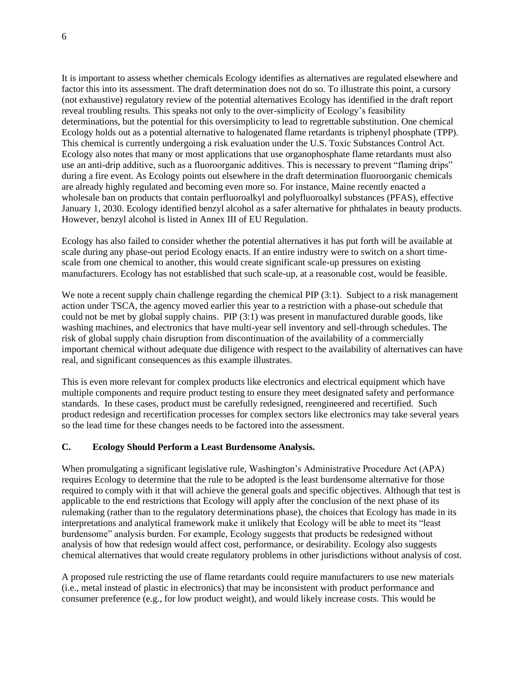It is important to assess whether chemicals Ecology identifies as alternatives are regulated elsewhere and factor this into its assessment. The draft determination does not do so. To illustrate this point, a cursory (not exhaustive) regulatory review of the potential alternatives Ecology has identified in the draft report reveal troubling results. This speaks not only to the over-simplicity of Ecology's feasibility determinations, but the potential for this oversimplicity to lead to regrettable substitution. One chemical Ecology holds out as a potential alternative to halogenated flame retardants is triphenyl phosphate (TPP). This chemical is currently undergoing a risk evaluation under the U.S. Toxic Substances Control Act. Ecology also notes that many or most applications that use organophosphate flame retardants must also use an anti-drip additive, such as a fluoroorganic additives. This is necessary to prevent "flaming drips" during a fire event. As Ecology points out elsewhere in the draft determination fluoroorganic chemicals are already highly regulated and becoming even more so. For instance, Maine recently enacted a wholesale ban on products that contain perfluoroalkyl and polyfluoroalkyl substances (PFAS), effective January 1, 2030. Ecology identified benzyl alcohol as a safer alternative for phthalates in beauty products. However, benzyl alcohol is listed in Annex III of EU Regulation.

Ecology has also failed to consider whether the potential alternatives it has put forth will be available at scale during any phase-out period Ecology enacts. If an entire industry were to switch on a short timescale from one chemical to another, this would create significant scale-up pressures on existing manufacturers. Ecology has not established that such scale-up, at a reasonable cost, would be feasible.

We note a recent supply chain challenge regarding the chemical PIP (3:1). Subject to a risk management action under TSCA, the agency moved earlier this year to a restriction with a phase-out schedule that could not be met by global supply chains. PIP (3:1) was present in manufactured durable goods, like washing machines, and electronics that have multi-year sell inventory and sell-through schedules. The risk of global supply chain disruption from discontinuation of the availability of a commercially important chemical without adequate due diligence with respect to the availability of alternatives can have real, and significant consequences as this example illustrates.

This is even more relevant for complex products like electronics and electrical equipment which have multiple components and require product testing to ensure they meet designated safety and performance standards. In these cases, product must be carefully redesigned, reengineered and recertified. Such product redesign and recertification processes for complex sectors like electronics may take several years so the lead time for these changes needs to be factored into the assessment.

#### **C. Ecology Should Perform a Least Burdensome Analysis.**

When promulgating a significant legislative rule, Washington's Administrative Procedure Act (APA) requires Ecology to determine that the rule to be adopted is the least burdensome alternative for those required to comply with it that will achieve the general goals and specific objectives. Although that test is applicable to the end restrictions that Ecology will apply after the conclusion of the next phase of its rulemaking (rather than to the regulatory determinations phase), the choices that Ecology has made in its interpretations and analytical framework make it unlikely that Ecology will be able to meet its "least burdensome" analysis burden. For example, Ecology suggests that products be redesigned without analysis of how that redesign would affect cost, performance, or desirability. Ecology also suggests chemical alternatives that would create regulatory problems in other jurisdictions without analysis of cost.

A proposed rule restricting the use of flame retardants could require manufacturers to use new materials (i.e., metal instead of plastic in electronics) that may be inconsistent with product performance and consumer preference (e.g., for low product weight), and would likely increase costs. This would be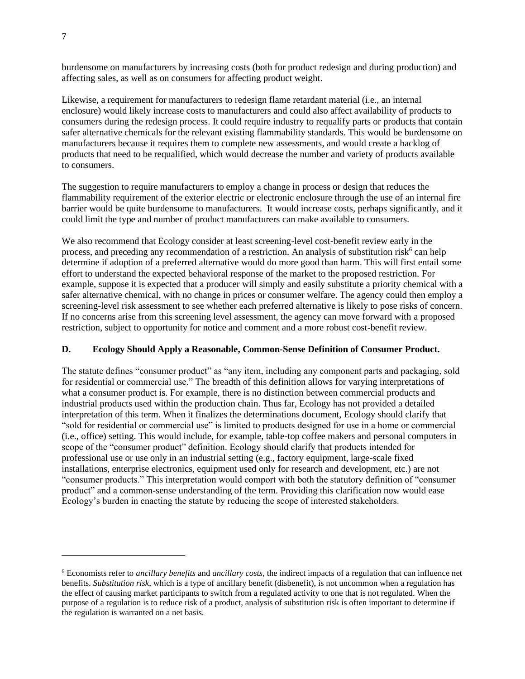burdensome on manufacturers by increasing costs (both for product redesign and during production) and affecting sales, as well as on consumers for affecting product weight.

Likewise, a requirement for manufacturers to redesign flame retardant material (i.e., an internal enclosure) would likely increase costs to manufacturers and could also affect availability of products to consumers during the redesign process. It could require industry to requalify parts or products that contain safer alternative chemicals for the relevant existing flammability standards. This would be burdensome on manufacturers because it requires them to complete new assessments, and would create a backlog of products that need to be requalified, which would decrease the number and variety of products available to consumers.

The suggestion to require manufacturers to employ a change in process or design that reduces the flammability requirement of the exterior electric or electronic enclosure through the use of an internal fire barrier would be quite burdensome to manufacturers. It would increase costs, perhaps significantly, and it could limit the type and number of product manufacturers can make available to consumers.

We also recommend that Ecology consider at least screening-level cost-benefit review early in the process, and preceding any recommendation of a restriction. An analysis of substitution risk<sup>6</sup> can help determine if adoption of a preferred alternative would do more good than harm. This will first entail some effort to understand the expected behavioral response of the market to the proposed restriction. For example, suppose it is expected that a producer will simply and easily substitute a priority chemical with a safer alternative chemical, with no change in prices or consumer welfare. The agency could then employ a screening-level risk assessment to see whether each preferred alternative is likely to pose risks of concern. If no concerns arise from this screening level assessment, the agency can move forward with a proposed restriction, subject to opportunity for notice and comment and a more robust cost-benefit review.

# **D. Ecology Should Apply a Reasonable, Common-Sense Definition of Consumer Product.**

The statute defines "consumer product" as "any item, including any component parts and packaging, sold for residential or commercial use." The breadth of this definition allows for varying interpretations of what a consumer product is. For example, there is no distinction between commercial products and industrial products used within the production chain. Thus far, Ecology has not provided a detailed interpretation of this term. When it finalizes the determinations document, Ecology should clarify that "sold for residential or commercial use" is limited to products designed for use in a home or commercial (i.e., office) setting. This would include, for example, table-top coffee makers and personal computers in scope of the "consumer product" definition. Ecology should clarify that products intended for professional use or use only in an industrial setting (e.g., factory equipment, large-scale fixed installations, enterprise electronics, equipment used only for research and development, etc.) are not "consumer products." This interpretation would comport with both the statutory definition of "consumer product" and a common-sense understanding of the term. Providing this clarification now would ease Ecology's burden in enacting the statute by reducing the scope of interested stakeholders.

<sup>6</sup> Economists refer to *ancillary benefits* and *ancillary costs*, the indirect impacts of a regulation that can influence net benefits. *Substitution risk*, which is a type of ancillary benefit (disbenefit), is not uncommon when a regulation has the effect of causing market participants to switch from a regulated activity to one that is not regulated. When the purpose of a regulation is to reduce risk of a product, analysis of substitution risk is often important to determine if the regulation is warranted on a net basis.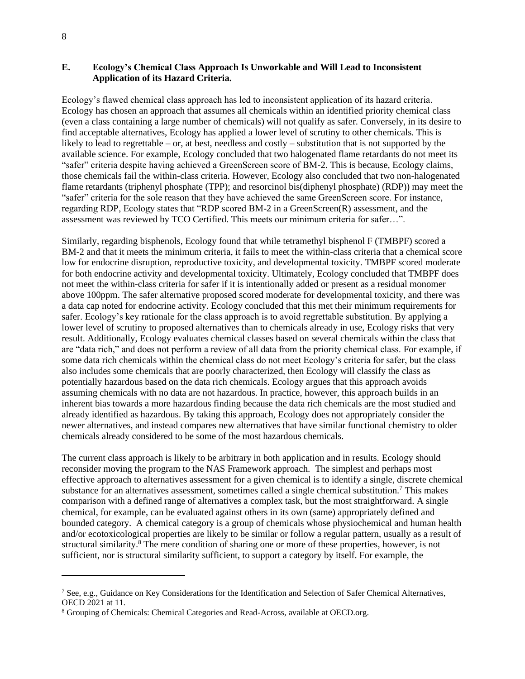### **E. Ecology's Chemical Class Approach Is Unworkable and Will Lead to Inconsistent Application of its Hazard Criteria.**

Ecology's flawed chemical class approach has led to inconsistent application of its hazard criteria. Ecology has chosen an approach that assumes all chemicals within an identified priority chemical class (even a class containing a large number of chemicals) will not qualify as safer. Conversely, in its desire to find acceptable alternatives, Ecology has applied a lower level of scrutiny to other chemicals. This is likely to lead to regrettable – or, at best, needless and costly – substitution that is not supported by the available science. For example, Ecology concluded that two halogenated flame retardants do not meet its "safer" criteria despite having achieved a GreenScreen score of BM-2. This is because, Ecology claims, those chemicals fail the within-class criteria. However, Ecology also concluded that two non-halogenated flame retardants (triphenyl phosphate (TPP); and resorcinol bis(diphenyl phosphate) (RDP)) may meet the "safer" criteria for the sole reason that they have achieved the same GreenScreen score. For instance, regarding RDP, Ecology states that "RDP scored BM-2 in a GreenScreen(R) assessment, and the assessment was reviewed by TCO Certified. This meets our minimum criteria for safer…".

Similarly, regarding bisphenols, Ecology found that while tetramethyl bisphenol F (TMBPF) scored a BM-2 and that it meets the minimum criteria, it fails to meet the within-class criteria that a chemical score low for endocrine disruption, reproductive toxicity, and developmental toxicity. TMBPF scored moderate for both endocrine activity and developmental toxicity. Ultimately, Ecology concluded that TMBPF does not meet the within-class criteria for safer if it is intentionally added or present as a residual monomer above 100ppm. The safer alternative proposed scored moderate for developmental toxicity, and there was a data cap noted for endocrine activity. Ecology concluded that this met their minimum requirements for safer. Ecology's key rationale for the class approach is to avoid regrettable substitution. By applying a lower level of scrutiny to proposed alternatives than to chemicals already in use, Ecology risks that very result. Additionally, Ecology evaluates chemical classes based on several chemicals within the class that are "data rich," and does not perform a review of all data from the priority chemical class. For example, if some data rich chemicals within the chemical class do not meet Ecology's criteria for safer, but the class also includes some chemicals that are poorly characterized, then Ecology will classify the class as potentially hazardous based on the data rich chemicals. Ecology argues that this approach avoids assuming chemicals with no data are not hazardous. In practice, however, this approach builds in an inherent bias towards a more hazardous finding because the data rich chemicals are the most studied and already identified as hazardous. By taking this approach, Ecology does not appropriately consider the newer alternatives, and instead compares new alternatives that have similar functional chemistry to older chemicals already considered to be some of the most hazardous chemicals.

The current class approach is likely to be arbitrary in both application and in results. Ecology should reconsider moving the program to the NAS Framework approach. The simplest and perhaps most effective approach to alternatives assessment for a given chemical is to identify a single, discrete chemical substance for an alternatives assessment, sometimes called a single chemical substitution.<sup>7</sup> This makes comparison with a defined range of alternatives a complex task, but the most straightforward. A single chemical, for example, can be evaluated against others in its own (same) appropriately defined and bounded category. A chemical category is a group of chemicals whose physiochemical and human health and/or ecotoxicological properties are likely to be similar or follow a regular pattern, usually as a result of structural similarity.<sup>8</sup> The mere condition of sharing one or more of these properties, however, is not sufficient, nor is structural similarity sufficient, to support a category by itself. For example, the

<sup>7</sup> See, e.g., Guidance on Key Considerations for the Identification and Selection of Safer Chemical Alternatives, OECD 2021 at 11.

<sup>8</sup> Grouping of Chemicals: Chemical Categories and Read-Across, available at OECD.org.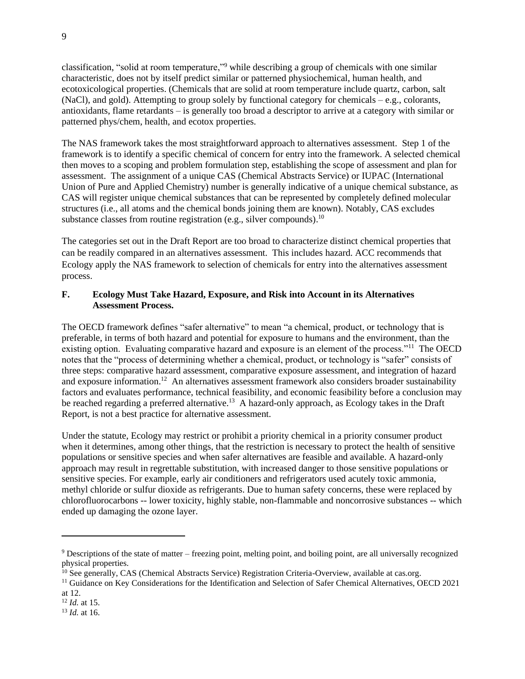classification, "solid at room temperature,"<sup>9</sup> while describing a group of chemicals with one similar characteristic, does not by itself predict similar or patterned physiochemical, human health, and ecotoxicological properties. (Chemicals that are solid at room temperature include quartz, carbon, salt (NaCl), and gold). Attempting to group solely by functional category for chemicals  $-e.g.,$  colorants, antioxidants, flame retardants – is generally too broad a descriptor to arrive at a category with similar or patterned phys/chem, health, and ecotox properties.

The NAS framework takes the most straightforward approach to alternatives assessment. Step 1 of the framework is to identify a specific chemical of concern for entry into the framework. A selected chemical then moves to a scoping and problem formulation step, establishing the scope of assessment and plan for assessment. The assignment of a unique CAS (Chemical Abstracts Service) or IUPAC (International Union of Pure and Applied Chemistry) number is generally indicative of a unique chemical substance, as CAS will register unique chemical substances that can be represented by completely defined molecular structures (i.e., all atoms and the chemical bonds joining them are known). Notably, CAS excludes substance classes from routine registration (e.g., silver compounds).<sup>10</sup>

The categories set out in the Draft Report are too broad to characterize distinct chemical properties that can be readily compared in an alternatives assessment. This includes hazard. ACC recommends that Ecology apply the NAS framework to selection of chemicals for entry into the alternatives assessment process.

# **F. Ecology Must Take Hazard, Exposure, and Risk into Account in its Alternatives Assessment Process.**

The OECD framework defines "safer alternative" to mean "a chemical, product, or technology that is preferable, in terms of both hazard and potential for exposure to humans and the environment, than the existing option. Evaluating comparative hazard and exposure is an element of the process."<sup>11</sup> The OECD notes that the "process of determining whether a chemical, product, or technology is "safer" consists of three steps: comparative hazard assessment, comparative exposure assessment, and integration of hazard and exposure information.<sup>12</sup> An alternatives assessment framework also considers broader sustainability factors and evaluates performance, technical feasibility, and economic feasibility before a conclusion may be reached regarding a preferred alternative.<sup>13</sup> A hazard-only approach, as Ecology takes in the Draft Report, is not a best practice for alternative assessment.

Under the statute, Ecology may restrict or prohibit a priority chemical in a priority consumer product when it determines, among other things, that the restriction is necessary to protect the health of sensitive populations or sensitive species and when safer alternatives are feasible and available. A hazard-only approach may result in regrettable substitution, with increased danger to those sensitive populations or sensitive species. For example, early air conditioners and refrigerators used acutely toxic ammonia, methyl chloride or sulfur dioxide as refrigerants. Due to human safety concerns, these were replaced by chlorofluorocarbons -- lower toxicity, highly stable, non-flammable and noncorrosive substances -- which ended up damaging the ozone layer.

<sup>9</sup> Descriptions of the state of matter – freezing point, melting point, and boiling point, are all universally recognized physical properties.

<sup>&</sup>lt;sup>10</sup> See generally, CAS (Chemical Abstracts Service) Registration Criteria-Overview, available at cas.org.

 $11$  Guidance on Key Considerations for the Identification and Selection of Safer Chemical Alternatives, OECD 2021

at 12.

<sup>12</sup> *Id.* at 15.

<sup>13</sup> *Id.* at 16.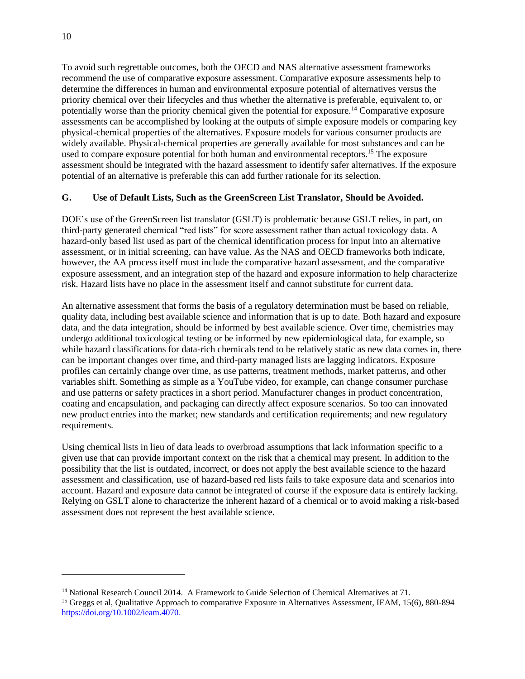To avoid such regrettable outcomes, both the OECD and NAS alternative assessment frameworks recommend the use of comparative exposure assessment. Comparative exposure assessments help to determine the differences in human and environmental exposure potential of alternatives versus the priority chemical over their lifecycles and thus whether the alternative is preferable, equivalent to, or potentially worse than the priority chemical given the potential for exposure.<sup>14</sup> Comparative exposure assessments can be accomplished by looking at the outputs of simple exposure models or comparing key physical-chemical properties of the alternatives. Exposure models for various consumer products are widely available. Physical-chemical properties are generally available for most substances and can be used to compare exposure potential for both human and environmental receptors.<sup>15</sup> The exposure assessment should be integrated with the hazard assessment to identify safer alternatives. If the exposure potential of an alternative is preferable this can add further rationale for its selection.

### **G. Use of Default Lists, Such as the GreenScreen List Translator, Should be Avoided.**

DOE's use of the GreenScreen list translator (GSLT) is problematic because GSLT relies, in part, on third-party generated chemical "red lists" for score assessment rather than actual toxicology data. A hazard-only based list used as part of the chemical identification process for input into an alternative assessment, or in initial screening, can have value. As the NAS and OECD frameworks both indicate, however, the AA process itself must include the comparative hazard assessment, and the comparative exposure assessment, and an integration step of the hazard and exposure information to help characterize risk. Hazard lists have no place in the assessment itself and cannot substitute for current data.

An alternative assessment that forms the basis of a regulatory determination must be based on reliable, quality data, including best available science and information that is up to date. Both hazard and exposure data, and the data integration, should be informed by best available science. Over time, chemistries may undergo additional toxicological testing or be informed by new epidemiological data, for example, so while hazard classifications for data-rich chemicals tend to be relatively static as new data comes in, there can be important changes over time, and third-party managed lists are lagging indicators. Exposure profiles can certainly change over time, as use patterns, treatment methods, market patterns, and other variables shift. Something as simple as a YouTube video, for example, can change consumer purchase and use patterns or safety practices in a short period. Manufacturer changes in product concentration, coating and encapsulation, and packaging can directly affect exposure scenarios. So too can innovated new product entries into the market; new standards and certification requirements; and new regulatory requirements.

Using chemical lists in lieu of data leads to overbroad assumptions that lack information specific to a given use that can provide important context on the risk that a chemical may present. In addition to the possibility that the list is outdated, incorrect, or does not apply the best available science to the hazard assessment and classification, use of hazard-based red lists fails to take exposure data and scenarios into account. Hazard and exposure data cannot be integrated of course if the exposure data is entirely lacking. Relying on GSLT alone to characterize the inherent hazard of a chemical or to avoid making a risk-based assessment does not represent the best available science.

<sup>&</sup>lt;sup>14</sup> National Research Council 2014. A Framework to Guide Selection of Chemical Alternatives at 71.

<sup>&</sup>lt;sup>15</sup> Greggs et al, Qualitative Approach to comparative Exposure in Alternatives Assessment, IEAM, 15(6), 880-894 https://doi.org/10.1002/ieam.4070.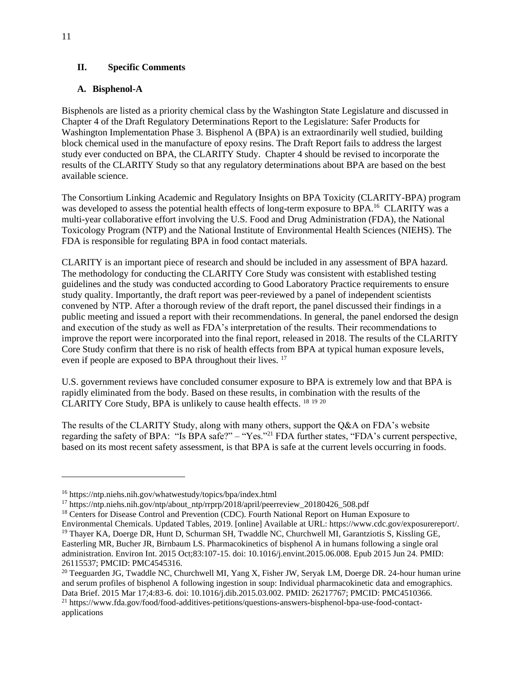## **II. Specific Comments**

# **A. Bisphenol-A**

Bisphenols are listed as a priority chemical class by the Washington State Legislature and discussed in Chapter 4 of the Draft Regulatory Determinations Report to the Legislature: Safer Products for Washington Implementation Phase 3. Bisphenol A (BPA) is an extraordinarily well studied, building block chemical used in the manufacture of epoxy resins. The Draft Report fails to address the largest study ever conducted on BPA, the CLARITY Study. Chapter 4 should be revised to incorporate the results of the CLARITY Study so that any regulatory determinations about BPA are based on the best available science.

The Consortium Linking Academic and Regulatory Insights on BPA Toxicity (CLARITY-BPA) program was developed to assess the potential health effects of long-term exposure to BPA.<sup>16</sup> CLARITY was a multi-year collaborative effort involving the U.S. Food and Drug Administration (FDA), the National Toxicology Program (NTP) and the National Institute of Environmental Health Sciences (NIEHS). The FDA is responsible for regulating BPA in food contact materials.

CLARITY is an important piece of research and should be included in any assessment of BPA hazard. The methodology for conducting the CLARITY Core Study was consistent with established testing guidelines and the study was conducted according to Good Laboratory Practice requirements to ensure study quality. Importantly, the draft report was peer-reviewed by a panel of independent scientists convened by NTP. After a thorough review of the draft report, the panel discussed their findings in a public meeting and issued a report with their recommendations. In general, the panel endorsed the design and execution of the study as well as FDA's interpretation of the results. Their recommendations to improve the report were incorporated into the final report, released in 2018. The results of the CLARITY Core Study confirm that there is no risk of health effects from BPA at typical human exposure levels, even if people are exposed to BPA throughout their lives. <sup>17</sup>

U.S. government reviews have concluded consumer exposure to BPA is extremely low and that BPA is rapidly eliminated from the body. Based on these results, in combination with the results of the CLARITY Core Study, BPA is unlikely to cause health effects. <sup>18</sup> <sup>19</sup> <sup>20</sup>

The results of the CLARITY Study, along with many others, support the Q&A on FDA's website regarding the safety of BPA: "Is BPA safe?" – "Yes."<sup>21</sup> FDA further states, "FDA's current perspective, based on its most recent safety assessment, is that BPA is safe at the current levels occurring in foods.

<sup>16</sup> https://ntp.niehs.nih.gov/whatwestudy/topics/bpa/index.html

<sup>17</sup> https://ntp.niehs.nih.gov/ntp/about\_ntp/rrprp/2018/april/peerreview\_20180426\_508.pdf

<sup>&</sup>lt;sup>18</sup> Centers for Disease Control and Prevention (CDC). Fourth National Report on Human Exposure to

Environmental Chemicals. Updated Tables, 2019. [online] Available at URL: https://www.cdc.gov/exposurereport/. <sup>19</sup> Thayer KA, Doerge DR, Hunt D, Schurman SH, Twaddle NC, Churchwell MI, Garantziotis S, Kissling GE, Easterling MR, Bucher JR, Birnbaum LS. Pharmacokinetics of bisphenol A in humans following a single oral administration. Environ Int. 2015 Oct;83:107-15. doi: 10.1016/j.envint.2015.06.008. Epub 2015 Jun 24. PMID: 26115537; PMCID: PMC4545316.

<sup>&</sup>lt;sup>20</sup> Teeguarden JG, Twaddle NC, Churchwell MI, Yang X, Fisher JW, Seryak LM, Doerge DR. 24-hour human urine and serum profiles of bisphenol A following ingestion in soup: Individual pharmacokinetic data and emographics. Data Brief. 2015 Mar 17;4:83-6. doi: 10.1016/j.dib.2015.03.002. PMID: 26217767; PMCID: PMC4510366. <sup>21</sup> https://www.fda.gov/food/food-additives-petitions/questions-answers-bisphenol-bpa-use-food-contactapplications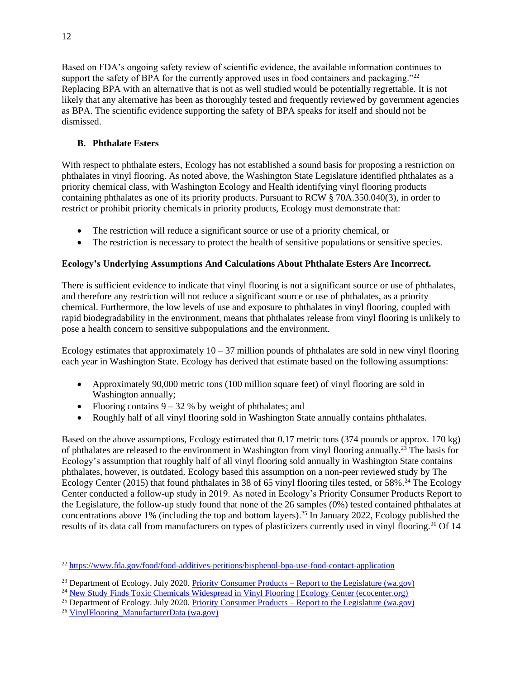Based on FDA's ongoing safety review of scientific evidence, the available information continues to support the safety of BPA for the currently approved uses in food containers and packaging."<sup>22</sup> Replacing BPA with an alternative that is not as well studied would be potentially regrettable. It is not likely that any alternative has been as thoroughly tested and frequently reviewed by government agencies as BPA. The scientific evidence supporting the safety of BPA speaks for itself and should not be dismissed.

# **B. Phthalate Esters**

With respect to phthalate esters, Ecology has not established a sound basis for proposing a restriction on phthalates in vinyl flooring. As noted above, the Washington State Legislature identified phthalates as a priority chemical class, with Washington Ecology and Health identifying vinyl flooring products containing phthalates as one of its priority products. Pursuant to RCW § 70A.350.040(3), in order to restrict or prohibit priority chemicals in priority products, Ecology must demonstrate that:

- The restriction will reduce a significant source or use of a priority chemical, or
- The restriction is necessary to protect the health of sensitive populations or sensitive species.

# **Ecology's Underlying Assumptions And Calculations About Phthalate Esters Are Incorrect.**

There is sufficient evidence to indicate that vinyl flooring is not a significant source or use of phthalates, and therefore any restriction will not reduce a significant source or use of phthalates, as a priority chemical. Furthermore, the low levels of use and exposure to phthalates in vinyl flooring, coupled with rapid biodegradability in the environment, means that phthalates release from vinyl flooring is unlikely to pose a health concern to sensitive subpopulations and the environment.

Ecology estimates that approximately  $10 - 37$  million pounds of phthalates are sold in new vinyl flooring each year in Washington State. Ecology has derived that estimate based on the following assumptions:

- Approximately 90,000 metric tons (100 million square feet) of vinyl flooring are sold in Washington annually;
- Flooring contains  $9 32$  % by weight of phthalates; and
- Roughly half of all vinyl flooring sold in Washington State annually contains phthalates.

Based on the above assumptions, Ecology estimated that 0.17 metric tons (374 pounds or approx. 170 kg) of phthalates are released to the environment in Washington from vinyl flooring annually.<sup>23</sup> The basis for Ecology's assumption that roughly half of all vinyl flooring sold annually in Washington State contains phthalates, however, is outdated. Ecology based this assumption on a non-peer reviewed study by The Ecology Center (2015) that found phthalates in 38 of 65 vinyl flooring tiles tested, or 58%.<sup>24</sup> The Ecology Center conducted a follow-up study in 2019. As noted in Ecology's Priority Consumer Products Report to the Legislature, the follow-up study found that none of the 26 samples (0%) tested contained phthalates at concentrations above 1% (including the top and bottom layers).<sup>25</sup> In January 2022, Ecology published the results of its data call from manufacturers on types of plasticizers currently used in vinyl flooring.<sup>26</sup> Of 14

<sup>22</sup> <https://www.fda.gov/food/food-additives-petitions/bisphenol-bpa-use-food-contact-application>

<sup>&</sup>lt;sup>23</sup> Department of Ecology. July 2020. Priority Consumer Products – [Report to the Legislature \(wa.gov\)](https://apps.ecology.wa.gov/publications/documents/2004019.pdf)

<sup>24</sup> [New Study Finds Toxic Chemicals Widespread in Vinyl Flooring | Ecology Center \(ecocenter.org\)](https://www.ecocenter.org/healthy-stuff/reports/vinyl-floor-tiles/press_release)

<sup>&</sup>lt;sup>25</sup> Department of Ecology. July 2020. Priority Consumer Products – [Report to the Legislature \(wa.gov\)](https://apps.ecology.wa.gov/publications/documents/2004019.pdf)

<sup>26</sup> [VinylFlooring\\_ManufacturerData \(wa.gov\)](https://www.ezview.wa.gov/Portals/_1962/Documents/saferproducts/VinylFlooring_ManufacturerData.pdf)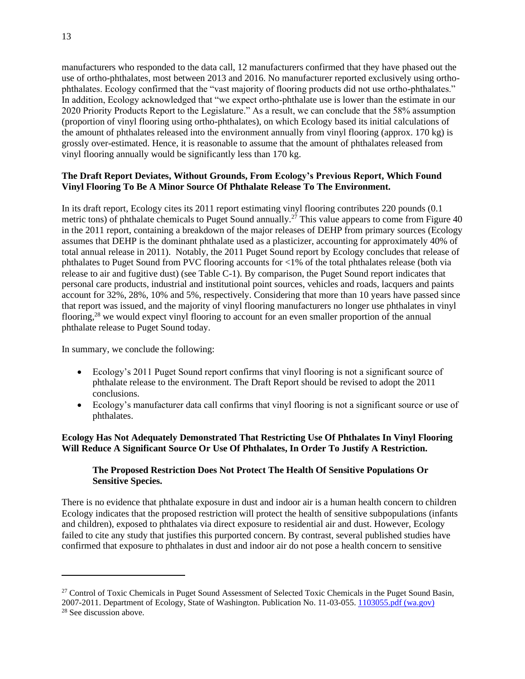manufacturers who responded to the data call, 12 manufacturers confirmed that they have phased out the use of ortho-phthalates, most between 2013 and 2016. No manufacturer reported exclusively using orthophthalates. Ecology confirmed that the "vast majority of flooring products did not use ortho-phthalates." In addition, Ecology acknowledged that "we expect ortho-phthalate use is lower than the estimate in our 2020 Priority Products Report to the Legislature." As a result, we can conclude that the 58% assumption (proportion of vinyl flooring using ortho-phthalates), on which Ecology based its initial calculations of the amount of phthalates released into the environment annually from vinyl flooring (approx. 170 kg) is grossly over-estimated. Hence, it is reasonable to assume that the amount of phthalates released from vinyl flooring annually would be significantly less than 170 kg.

# **The Draft Report Deviates, Without Grounds, From Ecology's Previous Report, Which Found Vinyl Flooring To Be A Minor Source Of Phthalate Release To The Environment.**

In its draft report, Ecology cites its 2011 report estimating vinyl flooring contributes 220 pounds (0.1 metric tons) of phthalate chemicals to Puget Sound annually.<sup>27</sup> This value appears to come from Figure 40 in the 2011 report, containing a breakdown of the major releases of DEHP from primary sources (Ecology assumes that DEHP is the dominant phthalate used as a plasticizer, accounting for approximately 40% of total annual release in 2011). Notably, the 2011 Puget Sound report by Ecology concludes that release of phthalates to Puget Sound from PVC flooring accounts for <1% of the total phthalates release (both via release to air and fugitive dust) (see Table C-1). By comparison, the Puget Sound report indicates that personal care products, industrial and institutional point sources, vehicles and roads, lacquers and paints account for 32%, 28%, 10% and 5%, respectively. Considering that more than 10 years have passed since that report was issued, and the majority of vinyl flooring manufacturers no longer use phthalates in vinyl flooring,<sup>28</sup> we would expect vinyl flooring to account for an even smaller proportion of the annual phthalate release to Puget Sound today.

In summary, we conclude the following:

- Ecology's 2011 Puget Sound report confirms that vinyl flooring is not a significant source of phthalate release to the environment. The Draft Report should be revised to adopt the 2011 conclusions.
- Ecology's manufacturer data call confirms that vinyl flooring is not a significant source or use of phthalates.

# **Ecology Has Not Adequately Demonstrated That Restricting Use Of Phthalates In Vinyl Flooring Will Reduce A Significant Source Or Use Of Phthalates, In Order To Justify A Restriction.**

# **The Proposed Restriction Does Not Protect The Health Of Sensitive Populations Or Sensitive Species.**

There is no evidence that phthalate exposure in dust and indoor air is a human health concern to children Ecology indicates that the proposed restriction will protect the health of sensitive subpopulations (infants and children), exposed to phthalates via direct exposure to residential air and dust. However, Ecology failed to cite any study that justifies this purported concern. By contrast, several published studies have confirmed that exposure to phthalates in dust and indoor air do not pose a health concern to sensitive

<sup>&</sup>lt;sup>27</sup> Control of Toxic Chemicals in Puget Sound Assessment of Selected Toxic Chemicals in the Puget Sound Basin, 2007-2011. Department of Ecology, State of Washington. Publication No. 11-03-055. [1103055.pdf \(wa.gov\)](https://apps.ecology.wa.gov/publications/documents/1103055.pdf) <sup>28</sup> See discussion above.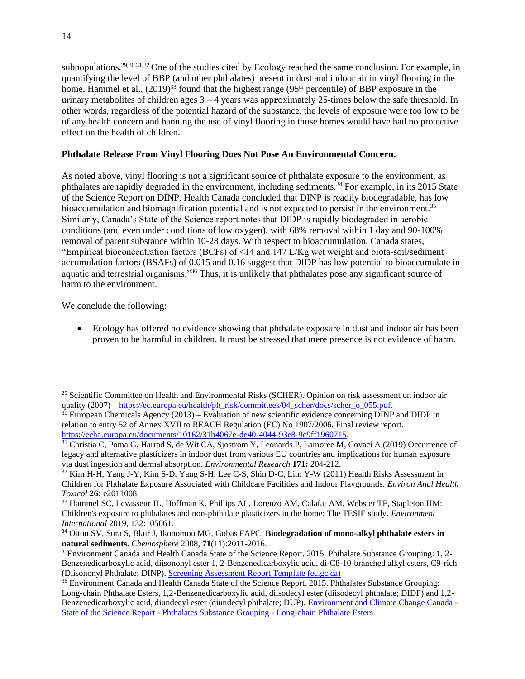subpopulations.29,30,31,32 One of the studies cited by Ecology reached the same conclusion. For example, in quantifying the level of BBP (and other phthalates) present in dust and indoor air in vinyl flooring in the home, Hammel et al.,  $(2019)^{33}$  found that the highest range  $(95<sup>th</sup>$  percentile) of BBP exposure in the urinary metabolites of children ages 3 – 4 years was app**r**oximately 25-times below the safe threshold. In other words, regardless of the potential hazard of the substance, the levels of exposure were too low to be of any health concern and banning the use of vinyl flooring in those homes would have had no protective effect on the health of children.

### **Phthalate Release From Vinyl Flooring Does Not Pose An Environmental Concern.**

As noted above, vinyl flooring is not a significant source of phthalate exposure to the environment, as phthalates are rapidly degraded in the environment, including sediments.<sup>34</sup> For example, in its 2015 State of the Science Report on DINP, Health Canada concluded that DINP is readily biodegradable, has low bioaccumulation and biomagnification potential and is not expected to persist in the environment.<sup>35</sup> Similarly, Canada's State of the Science report notes that DIDP is rapidly biodegraded in aerobic conditions (and even under conditions of low oxygen), with 68% removal within 1 day and 90-100% removal of parent substance within 10-28 days. With respect to bioaccumulation, Canada states, "Empirical bioconcentration factors (BCFs) of <14 and 147 L/Kg wet weight and biota-soil/sediment accumulation factors (BSAFs) of 0.015 and 0.16 suggest that DIDP has low potential to bioaccumulate in aquatic and terrestrial organisms."<sup>36</sup> Thus, it is unlikely that phthalates pose any significant source of harm to the environment.

We conclude the following:

• Ecology has offered no evidence showing that phthalate exposure in dust and indoor air has been proven to be harmful in children. It must be stressed that mere presence is not evidence of harm.

<sup>&</sup>lt;sup>29</sup> Scientific Committee on Health and Environmental Risks (SCHER). Opinion on risk assessment on indoor air quality (2007) – [https://ec.europa.eu/health/ph\\_risk/committees/04\\_scher/docs/scher\\_o\\_055.pdf.](https://ec.europa.eu/health/ph_risk/committees/04_scher/docs/scher_o_055.pdf)

 $30$  European Chemicals Agency (2013) – Evaluation of new scientific evidence concerning DINP and DIDP in relation to entry 52 of Annex XVII to REACH Regulation (EC) No 1907/2006. Final review report. [https://echa.europa.eu/documents/10162/31b4067e-de40-4044-93e8-9c9ff1960715.](https://echa.europa.eu/documents/10162/31b4067e-de40-4044-93e8-9c9ff1960715)

<sup>&</sup>lt;sup>31</sup> Christia C, Poma G, Harrad S, de Wit CA, Sjostrom Y, Leonards P, Lamoree M, Covaci A (2019) Occurrence of legacy and alternative plasticizers in indoor dust from various EU countries and implications for human exposure via dust ingestion and dermal absorption. *Environmental Research* **171:** 204-212.

<sup>32</sup> Kim H-H, Yang J-Y, Kim S-D, Yang S-H, Lee C-S, Shin D-C, Lim Y-W (2011) Health Risks Assessment in Children for Phthalate Exposure Associated with Childcare Facilities and Indoor Playgrounds. *Environ Anal Health Toxicol* **26:** e2011008.

<sup>33</sup> Hammel SC, Levasseur JL, Hoffman K, Phillips AL, Lorenzo AM, Calafat AM, Webster TF, Stapleton HM: Children's exposure to phthalates and non-phthalate plasticizers in the home: The TESIE study. *Environment International* 2019, 132:105061.

<sup>34</sup> Otton SV, Sura S, Blair J, Ikonomou MG, Gobas FAPC: **Biodegradation of mono-alkyl phthalate esters in natural sediments**. *Chemosphere* 2008, **71**(11):2011-2016.

<sup>35</sup>Environment Canada and Health Canada State of the Science Report. 2015. Phthalate Substance Grouping: 1, 2- Benzenedicarboxylic acid, diisononyl ester 1, 2-Benzenedicarboxylic acid, di-C8-10-branched alkyl esters, C9-rich (Diisononyl Phthalate; DINP). [Screening Assessment Report Template \(ec.gc.ca\)](https://ec.gc.ca/ese-ees/47F58AA5-57BE-4869-A128-587DEADCAAD8/SoS_Phthalates%20%28DINP%29_EN.pdf)

<sup>&</sup>lt;sup>36</sup> Environment Canada and Health Canada State of the Science Report. 2015. Phthalates Substance Grouping: Long-chain Phthalate Esters, 1,2-Benzenedicarboxylic acid, diisodecyl ester (diisodecyl phthalate; DIDP) and 1,2- Benzenedicarboxylic acid, diundecyl ester (diundecyl phthalate; DUP). [Environment and Climate Change Canada -](https://www.ec.gc.ca/ese-ees/default.asp?lang=En&n=D3FB0F30-1) State of the Science Report - [Phthalates Substance Grouping -](https://www.ec.gc.ca/ese-ees/default.asp?lang=En&n=D3FB0F30-1) Long-chain Phthalate Esters